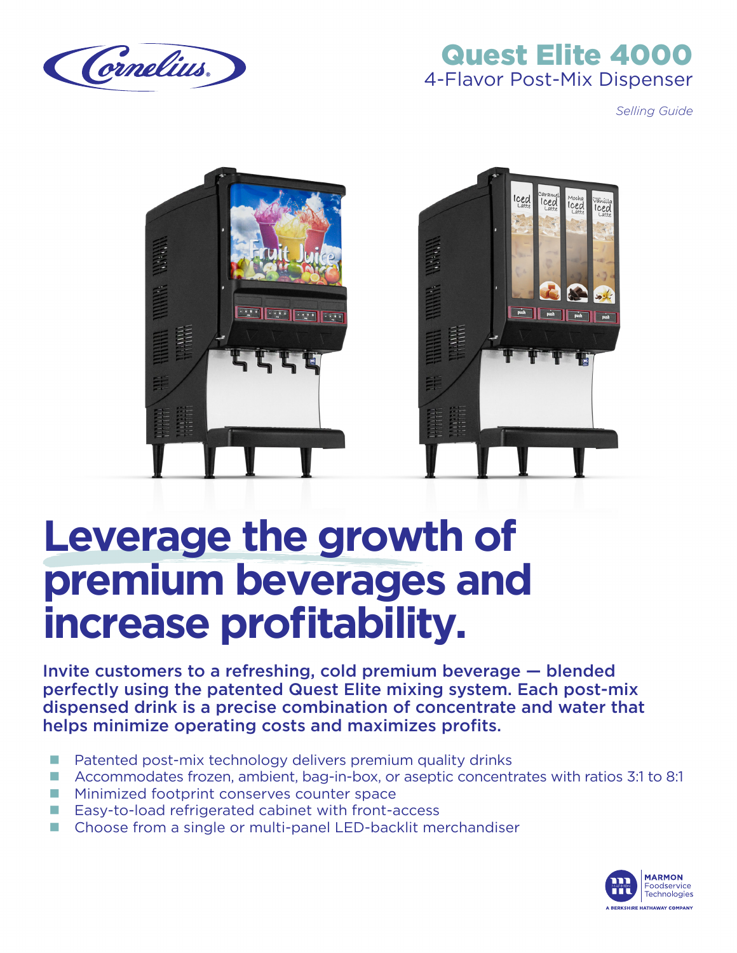

# Quest Elite 4000 4-Flavor Post-Mix Dispenser

*Selling Guide*



# **Leverage the growth of premium beverages and increase profitability.**

Invite customers to a refreshing, cold premium beverage — blended perfectly using the patented Quest Elite mixing system. Each post-mix dispensed drink is a precise combination of concentrate and water that helps minimize operating costs and maximizes profits.

- Patented post-mix technology delivers premium quality drinks
- Accommodates frozen, ambient, bag-in-box, or aseptic concentrates with ratios 3:1 to 8:1
- Minimized footprint conserves counter space
- $\blacksquare$  Easy-to-load refrigerated cabinet with front-access
- Choose from a single or multi-panel LED-backlit merchandiser